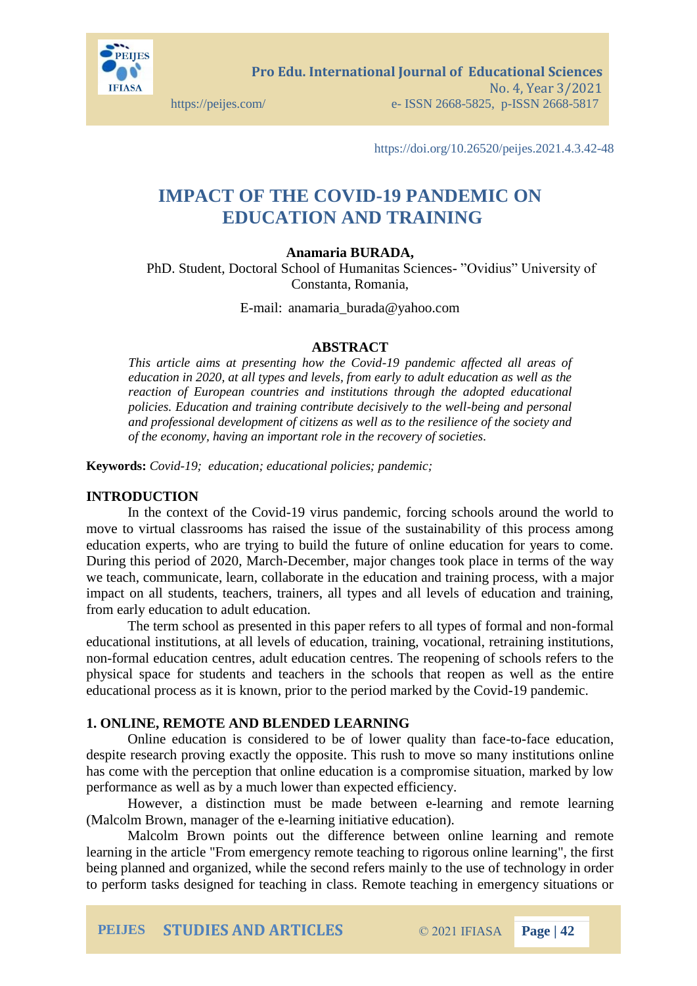

**Pro Edu. International Journal of Educational Sciences**  No. 4, Year 3/2021 https://peijes.com/ e- ISSN 2668-5825, p-ISSN 2668-5817

https://doi.org/10.26520/peijes.2021.4.3.42-48

# **IMPACT OF THE COVID-19 PANDEMIC ON EDUCATION AND TRAINING**

# **Anamaria BURADA,**

PhD. Student, Doctoral School of Humanitas Sciences- "Ovidius" University of Constanta, Romania,

E-mail: anamaria\_burada@yahoo.com

#### **ABSTRACT**

*This article aims at presenting how the Covid-19 pandemic affected all areas of education in 2020, at all types and levels, from early to adult education as well as the reaction of European countries and institutions through the adopted educational policies. Education and training contribute decisively to the well-being and personal and professional development of citizens as well as to the resilience of the society and of the economy, having an important role in the recovery of societies.*

**Keywords:** *Covid-19; education; educational policies; pandemic;*

#### **INTRODUCTION**

In the context of the Covid-19 virus pandemic, forcing schools around the world to move to virtual classrooms has raised the issue of the sustainability of this process among education experts, who are trying to build the future of online education for years to come. During this period of 2020, March-December, major changes took place in terms of the way we teach, communicate, learn, collaborate in the education and training process, with a major impact on all students, teachers, trainers, all types and all levels of education and training, from early education to adult education.

The term school as presented in this paper refers to all types of formal and non-formal educational institutions, at all levels of education, training, vocational, retraining institutions, non-formal education centres, adult education centres. The reopening of schools refers to the physical space for students and teachers in the schools that reopen as well as the entire educational process as it is known, prior to the period marked by the Covid-19 pandemic.

## **1. ONLINE, REMOTE AND BLENDED LEARNING**

Online education is considered to be of lower quality than face-to-face education, despite research proving exactly the opposite. This rush to move so many institutions online has come with the perception that online education is a compromise situation, marked by low performance as well as by a much lower than expected efficiency.

However, a distinction must be made between e-learning and remote learning (Malcolm Brown, manager of the e-learning initiative education).

Malcolm Brown points out the difference between online learning and remote learning in the article "From emergency remote teaching to rigorous online learning", the first being planned and organized, while the second refers mainly to the use of technology in order to perform tasks designed for teaching in class. Remote teaching in emergency situations or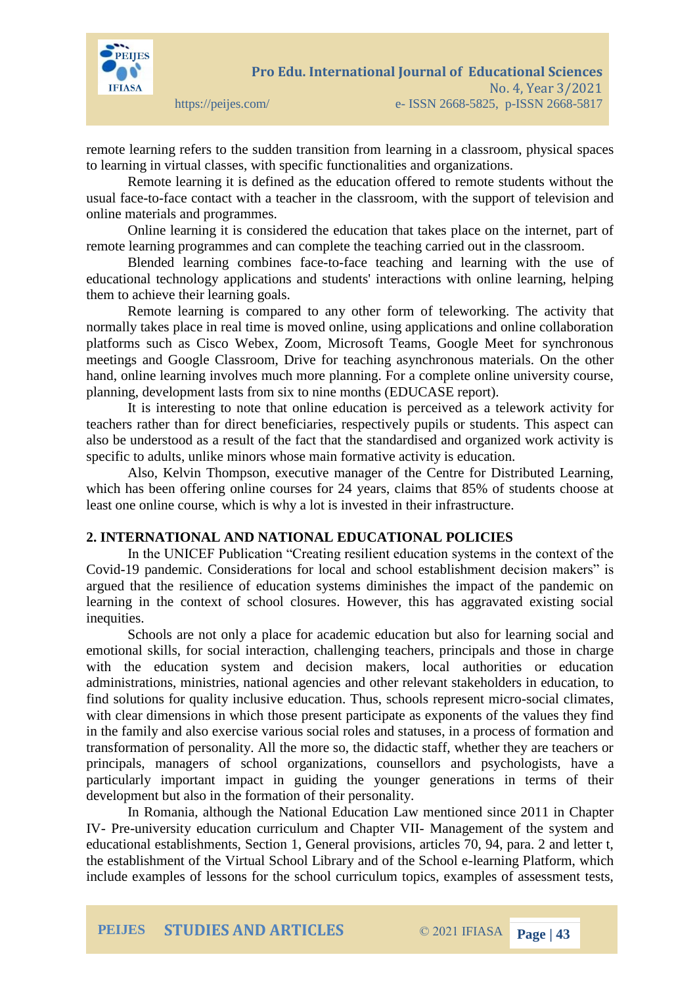

remote learning refers to the sudden transition from learning in a classroom, physical spaces to learning in virtual classes, with specific functionalities and organizations.

Remote learning it is defined as the education offered to remote students without the usual face-to-face contact with a teacher in the classroom, with the support of television and online materials and programmes.

Online learning it is considered the education that takes place on the internet, part of remote learning programmes and can complete the teaching carried out in the classroom.

Blended learning combines face-to-face teaching and learning with the use of educational technology applications and students' interactions with online learning, helping them to achieve their learning goals.

Remote learning is compared to any other form of teleworking. The activity that normally takes place in real time is moved online, using applications and online collaboration platforms such as Cisco Webex, Zoom, Microsoft Teams, Google Meet for synchronous meetings and Google Classroom, Drive for teaching asynchronous materials. On the other hand, online learning involves much more planning. For a complete online university course, planning, development lasts from six to nine months (EDUCASE report).

It is interesting to note that online education is perceived as a telework activity for teachers rather than for direct beneficiaries, respectively pupils or students. This aspect can also be understood as a result of the fact that the standardised and organized work activity is specific to adults, unlike minors whose main formative activity is education.

Also, Kelvin Thompson, executive manager of the Centre for Distributed Learning, which has been offering online courses for 24 years, claims that 85% of students choose at least one online course, which is why a lot is invested in their infrastructure.

# **2. INTERNATIONAL AND NATIONAL EDUCATIONAL POLICIES**

In the UNICEF Publication "Creating resilient education systems in the context of the Covid-19 pandemic. Considerations for local and school establishment decision makers" is argued that the resilience of education systems diminishes the impact of the pandemic on learning in the context of school closures. However, this has aggravated existing social inequities.

Schools are not only a place for academic education but also for learning social and emotional skills, for social interaction, challenging teachers, principals and those in charge with the education system and decision makers, local authorities or education administrations, ministries, national agencies and other relevant stakeholders in education, to find solutions for quality inclusive education. Thus, schools represent micro-social climates, with clear dimensions in which those present participate as exponents of the values they find in the family and also exercise various social roles and statuses, in a process of formation and transformation of personality. All the more so, the didactic staff, whether they are teachers or principals, managers of school organizations, counsellors and psychologists, have a particularly important impact in guiding the younger generations in terms of their development but also in the formation of their personality.

In Romania, although the National Education Law mentioned since 2011 in Chapter IV- Pre-university education curriculum and Chapter VII- Management of the system and educational establishments, Section 1, General provisions, articles 70, 94, para. 2 and letter t, the establishment of the Virtual School Library and of the School e-learning Platform, which include examples of lessons for the school curriculum topics, examples of assessment tests,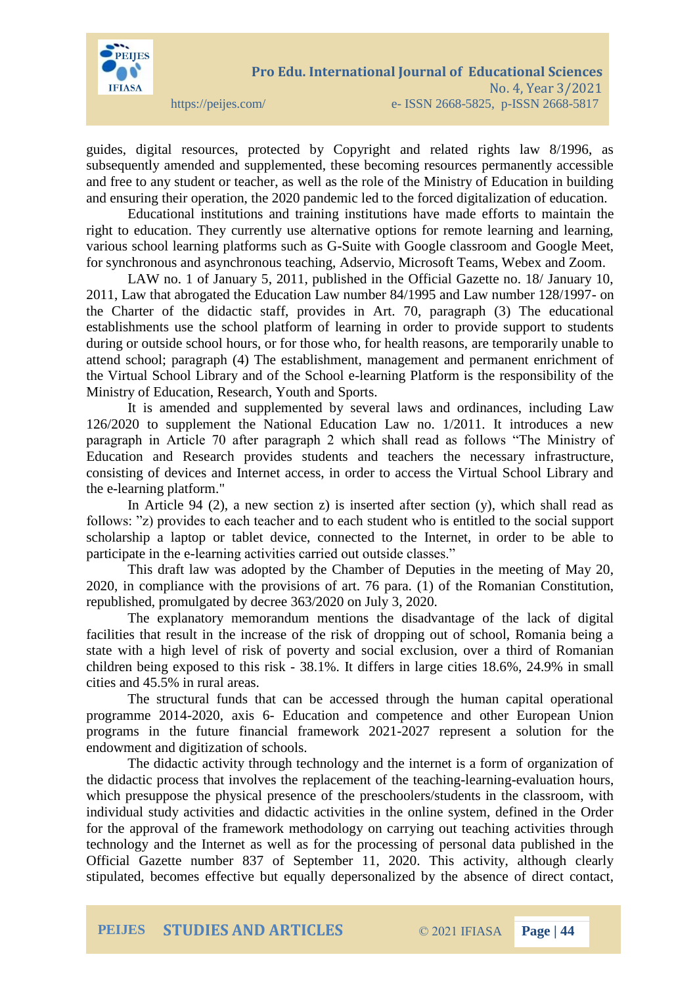

guides, digital resources, protected by Copyright and related rights law 8/1996, as subsequently amended and supplemented, these becoming resources permanently accessible and free to any student or teacher, as well as the role of the Ministry of Education in building and ensuring their operation, the 2020 pandemic led to the forced digitalization of education.

Educational institutions and training institutions have made efforts to maintain the right to education. They currently use alternative options for remote learning and learning, various school learning platforms such as G-Suite with Google classroom and Google Meet, for synchronous and asynchronous teaching, Adservio, Microsoft Teams, Webex and Zoom.

LAW no. 1 of January 5, 2011, published in the Official Gazette no. 18/ January 10, 2011, Law that abrogated the Education Law number 84/1995 and Law number 128/1997- on the Charter of the didactic staff, provides in Art. 70, paragraph (3) The educational establishments use the school platform of learning in order to provide support to students during or outside school hours, or for those who, for health reasons, are temporarily unable to attend school; paragraph (4) The establishment, management and permanent enrichment of the Virtual School Library and of the School e-learning Platform is the responsibility of the Ministry of Education, Research, Youth and Sports.

It is amended and supplemented by several laws and ordinances, including Law 126/2020 to supplement the National Education Law no. 1/2011. It introduces a new paragraph in Article 70 after paragraph 2 which shall read as follows "The Ministry of Education and Research provides students and teachers the necessary infrastructure, consisting of devices and Internet access, in order to access the Virtual School Library and the e-learning platform."

In Article 94  $(2)$ , a new section z) is inserted after section  $(y)$ , which shall read as follows: "z) provides to each teacher and to each student who is entitled to the social support scholarship a laptop or tablet device, connected to the Internet, in order to be able to participate in the e-learning activities carried out outside classes."

This draft law was adopted by the Chamber of Deputies in the meeting of May 20, 2020, in compliance with the provisions of art. 76 para. (1) of the Romanian Constitution, republished, promulgated by decree 363/2020 on July 3, 2020.

The explanatory memorandum mentions the disadvantage of the lack of digital facilities that result in the increase of the risk of dropping out of school, Romania being a state with a high level of risk of poverty and social exclusion, over a third of Romanian children being exposed to this risk - 38.1%. It differs in large cities 18.6%, 24.9% in small cities and 45.5% in rural areas.

The structural funds that can be accessed through the human capital operational programme 2014-2020, axis 6- Education and competence and other European Union programs in the future financial framework 2021-2027 represent a solution for the endowment and digitization of schools.

The didactic activity through technology and the internet is a form of organization of the didactic process that involves the replacement of the teaching-learning-evaluation hours, which presuppose the physical presence of the preschoolers/students in the classroom, with individual study activities and didactic activities in the online system, defined in the Order for the approval of the framework methodology on carrying out teaching activities through technology and the Internet as well as for the processing of personal data published in the Official Gazette number 837 of September 11, 2020. This activity, although clearly stipulated, becomes effective but equally depersonalized by the absence of direct contact,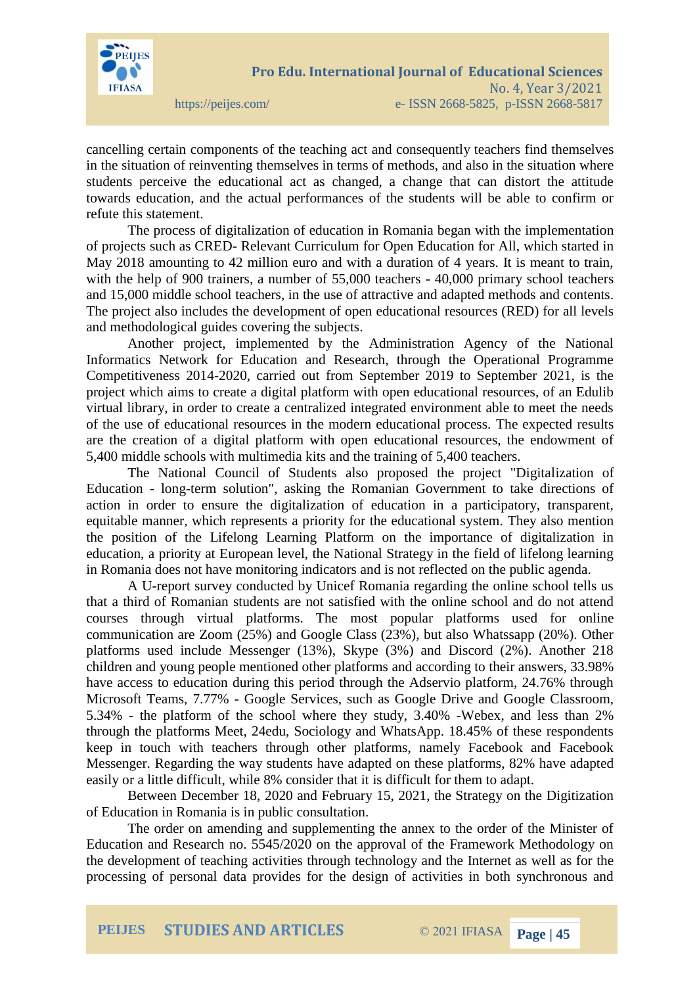

cancelling certain components of the teaching act and consequently teachers find themselves in the situation of reinventing themselves in terms of methods, and also in the situation where students perceive the educational act as changed, a change that can distort the attitude towards education, and the actual performances of the students will be able to confirm or refute this statement.

The process of digitalization of education in Romania began with the implementation of projects such as CRED- Relevant Curriculum for Open Education for All, which started in May 2018 amounting to 42 million euro and with a duration of 4 years. It is meant to train, with the help of 900 trainers, a number of 55,000 teachers - 40,000 primary school teachers and 15,000 middle school teachers, in the use of attractive and adapted methods and contents. The project also includes the development of open educational resources (RED) for all levels and methodological guides covering the subjects.

Another project, implemented by the Administration Agency of the National Informatics Network for Education and Research, through the Operational Programme Competitiveness 2014-2020, carried out from September 2019 to September 2021, is the project which aims to create a digital platform with open educational resources, of an Edulib virtual library, in order to create a centralized integrated environment able to meet the needs of the use of educational resources in the modern educational process. The expected results are the creation of a digital platform with open educational resources, the endowment of 5,400 middle schools with multimedia kits and the training of 5,400 teachers.

The National Council of Students also proposed the project "Digitalization of Education - long-term solution", asking the Romanian Government to take directions of action in order to ensure the digitalization of education in a participatory, transparent, equitable manner, which represents a priority for the educational system. They also mention the position of the Lifelong Learning Platform on the importance of digitalization in education, a priority at European level, the National Strategy in the field of lifelong learning in Romania does not have monitoring indicators and is not reflected on the public agenda.

A U-report survey conducted by Unicef Romania regarding the online school tells us that a third of Romanian students are not satisfied with the online school and do not attend courses through virtual platforms. The most popular platforms used for online communication are Zoom (25%) and Google Class (23%), but also Whatssapp (20%). Other platforms used include Messenger (13%), Skype (3%) and Discord (2%). Another 218 children and young people mentioned other platforms and according to their answers, 33.98% have access to education during this period through the Adservio platform, 24.76% through Microsoft Teams, 7.77% - Google Services, such as Google Drive and Google Classroom, 5.34% - the platform of the school where they study, 3.40% -Webex, and less than 2% through the platforms Meet, 24edu, Sociology and WhatsApp. 18.45% of these respondents keep in touch with teachers through other platforms, namely Facebook and Facebook Messenger. Regarding the way students have adapted on these platforms, 82% have adapted easily or a little difficult, while 8% consider that it is difficult for them to adapt.

Between December 18, 2020 and February 15, 2021, the Strategy on the Digitization of Education in Romania is in public consultation.

The order on amending and supplementing the annex to the order of the Minister of Education and Research no. 5545/2020 on the approval of the Framework Methodology on the development of teaching activities through technology and the Internet as well as for the processing of personal data provides for the design of activities in both synchronous and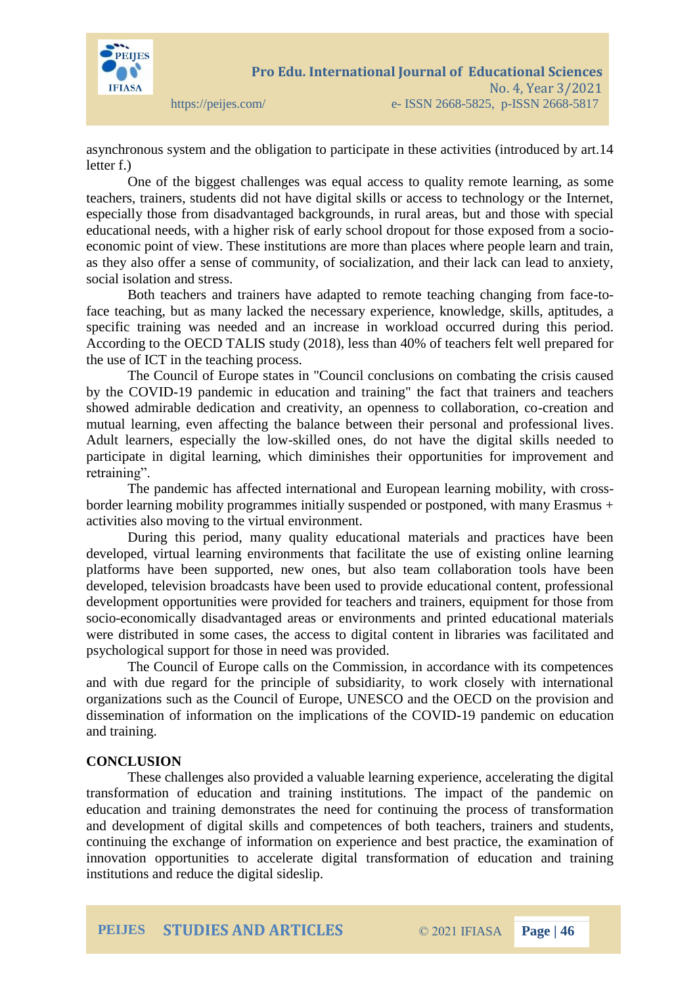

asynchronous system and the obligation to participate in these activities (introduced by art.14 letter f.)

One of the biggest challenges was equal access to quality remote learning, as some teachers, trainers, students did not have digital skills or access to technology or the Internet, especially those from disadvantaged backgrounds, in rural areas, but and those with special educational needs, with a higher risk of early school dropout for those exposed from a socioeconomic point of view. These institutions are more than places where people learn and train, as they also offer a sense of community, of socialization, and their lack can lead to anxiety, social isolation and stress.

Both teachers and trainers have adapted to remote teaching changing from face-toface teaching, but as many lacked the necessary experience, knowledge, skills, aptitudes, a specific training was needed and an increase in workload occurred during this period. According to the OECD TALIS study (2018), less than 40% of teachers felt well prepared for the use of ICT in the teaching process.

The Council of Europe states in "Council conclusions on combating the crisis caused by the COVID-19 pandemic in education and training" the fact that trainers and teachers showed admirable dedication and creativity, an openness to collaboration, co-creation and mutual learning, even affecting the balance between their personal and professional lives. Adult learners, especially the low-skilled ones, do not have the digital skills needed to participate in digital learning, which diminishes their opportunities for improvement and retraining".

The pandemic has affected international and European learning mobility, with crossborder learning mobility programmes initially suspended or postponed, with many Erasmus + activities also moving to the virtual environment.

During this period, many quality educational materials and practices have been developed, virtual learning environments that facilitate the use of existing online learning platforms have been supported, new ones, but also team collaboration tools have been developed, television broadcasts have been used to provide educational content, professional development opportunities were provided for teachers and trainers, equipment for those from socio-economically disadvantaged areas or environments and printed educational materials were distributed in some cases, the access to digital content in libraries was facilitated and psychological support for those in need was provided.

The Council of Europe calls on the Commission, in accordance with its competences and with due regard for the principle of subsidiarity, to work closely with international organizations such as the Council of Europe, UNESCO and the OECD on the provision and dissemination of information on the implications of the COVID-19 pandemic on education and training.

## **CONCLUSION**

These challenges also provided a valuable learning experience, accelerating the digital transformation of education and training institutions. The impact of the pandemic on education and training demonstrates the need for continuing the process of transformation and development of digital skills and competences of both teachers, trainers and students, continuing the exchange of information on experience and best practice, the examination of innovation opportunities to accelerate digital transformation of education and training institutions and reduce the digital sideslip.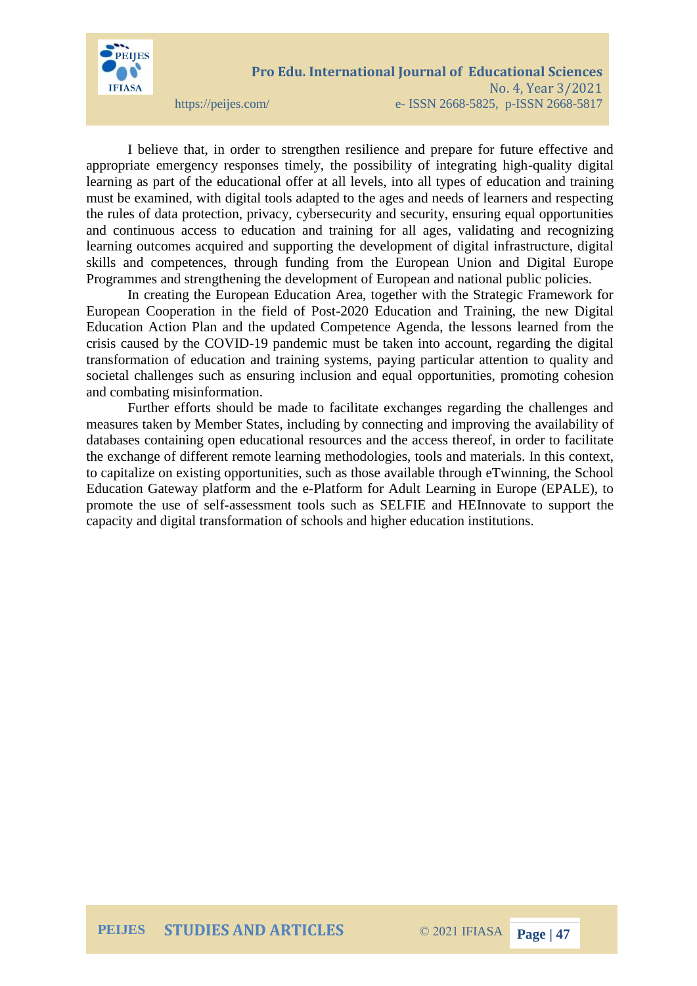

I believe that, in order to strengthen resilience and prepare for future effective and appropriate emergency responses timely, the possibility of integrating high-quality digital learning as part of the educational offer at all levels, into all types of education and training must be examined, with digital tools adapted to the ages and needs of learners and respecting the rules of data protection, privacy, cybersecurity and security, ensuring equal opportunities and continuous access to education and training for all ages, validating and recognizing learning outcomes acquired and supporting the development of digital infrastructure, digital skills and competences, through funding from the European Union and Digital Europe Programmes and strengthening the development of European and national public policies.

In creating the European Education Area, together with the Strategic Framework for European Cooperation in the field of Post-2020 Education and Training, the new Digital Education Action Plan and the updated Competence Agenda, the lessons learned from the crisis caused by the COVID-19 pandemic must be taken into account, regarding the digital transformation of education and training systems, paying particular attention to quality and societal challenges such as ensuring inclusion and equal opportunities, promoting cohesion and combating misinformation.

Further efforts should be made to facilitate exchanges regarding the challenges and measures taken by Member States, including by connecting and improving the availability of databases containing open educational resources and the access thereof, in order to facilitate the exchange of different remote learning methodologies, tools and materials. In this context, to capitalize on existing opportunities, such as those available through eTwinning, the School Education Gateway platform and the e-Platform for Adult Learning in Europe (EPALE), to promote the use of self-assessment tools such as SELFIE and HEInnovate to support the capacity and digital transformation of schools and higher education institutions.